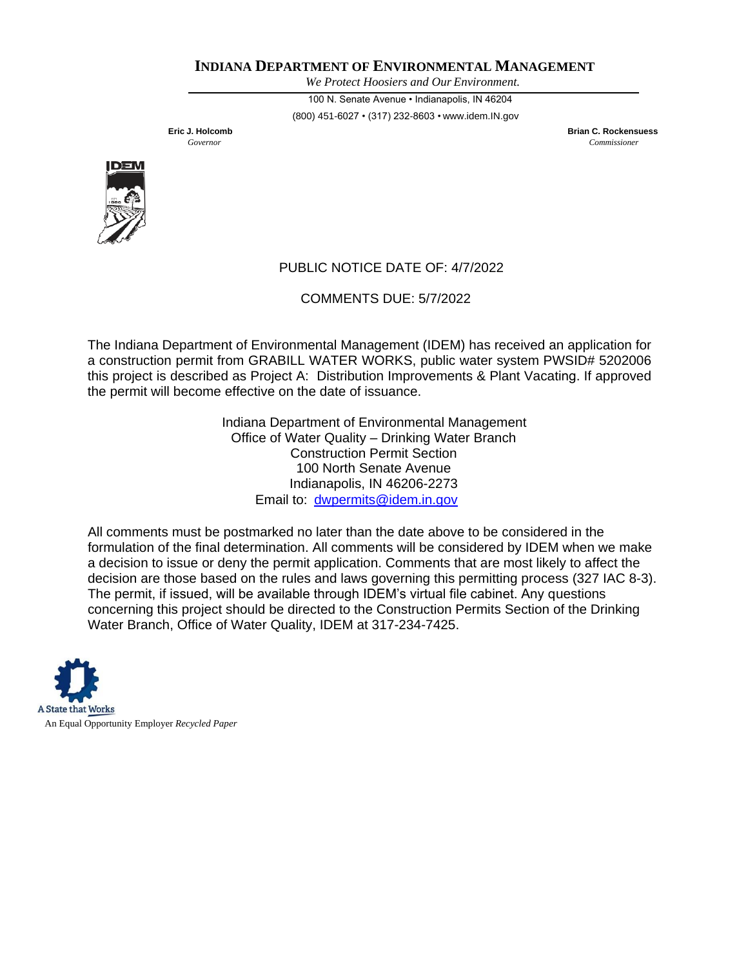## **INDIANA DEPARTMENT OF ENVIRONMENTAL MANAGEMENT**

*We Protect Hoosiers and Our Environment.*

100 N. Senate Avenue • Indianapolis, IN 46204 (800) 451-6027 • (317) 232-8603 • [www.idem.IN.gov](http://www.idem.in.gov/)

**Eric J. Holcomb Brian C. Rockensuess** *Governor Commissioner*



## PUBLIC NOTICE DATE OF: 4/7/2022

COMMENTS DUE: 5/7/2022

The Indiana Department of Environmental Management (IDEM) has received an application for a construction permit from GRABILL WATER WORKS, public water system PWSID# 5202006 this project is described as Project A: Distribution Improvements & Plant Vacating. If approved the permit will become effective on the date of issuance.

> Indiana Department of Environmental Management Office of Water Quality – Drinking Water Branch Construction Permit Section 100 North Senate Avenue Indianapolis, IN 46206-2273 Email to: [dwpermits@idem.in.gov](mailto:dwpermits@idem.in.gov)

All comments must be postmarked no later than the date above to be considered in the formulation of the final determination. All comments will be considered by IDEM when we make a decision to issue or deny the permit application. Comments that are most likely to affect the decision are those based on the rules and laws governing this permitting process (327 IAC 8-3). The permit, if issued, will be available through IDEM's virtual file cabinet. Any questions concerning this project should be directed to the Construction Permits Section of the Drinking Water Branch, Office of Water Quality, IDEM at 317-234-7425.